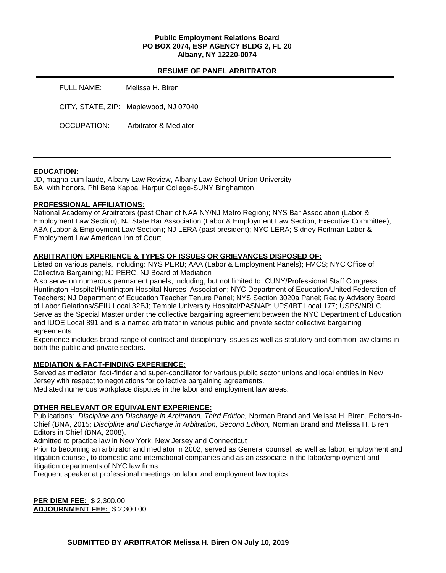## **Public Employment Relations Board PO BOX 2074, ESP AGENCY BLDG 2, FL 20 Albany, NY 12220-0074**

#### **RESUME OF PANEL ARBITRATOR**

| FULL NAME:  | Melissa H. Biren                      |
|-------------|---------------------------------------|
|             | CITY, STATE, ZIP: Maplewood, NJ 07040 |
| OCCUPATION: | Arbitrator & Mediator                 |

#### **EDUCATION:**

JD, magna cum laude, Albany Law Review, Albany Law School-Union University BA, with honors, Phi Beta Kappa, Harpur College-SUNY Binghamton

## **PROFESSIONAL AFFILIATIONS:**

National Academy of Arbitrators (past Chair of NAA NY/NJ Metro Region); NYS Bar Association (Labor & Employment Law Section); NJ State Bar Association (Labor & Employment Law Section, Executive Committee); ABA (Labor & Employment Law Section); NJ LERA (past president); NYC LERA; Sidney Reitman Labor & Employment Law American Inn of Court

# **ARBITRATION EXPERIENCE & TYPES OF ISSUES OR GRIEVANCES DISPOSED OF:**

Listed on various panels, including: NYS PERB; AAA (Labor & Employment Panels); FMCS; NYC Office of Collective Bargaining; NJ PERC, NJ Board of Mediation

Also serve on numerous permanent panels, including, but not limited to: CUNY/Professional Staff Congress; Huntington Hospital/Huntington Hospital Nurses' Association; NYC Department of Education/United Federation of Teachers; NJ Department of Education Teacher Tenure Panel; NYS Section 3020a Panel; Realty Advisory Board of Labor Relations/SEIU Local 32BJ; Temple University Hospital/PASNAP; UPS/IBT Local 177; USPS/NRLC Serve as the Special Master under the collective bargaining agreement between the NYC Department of Education and IUOE Local 891 and is a named arbitrator in various public and private sector collective bargaining agreements.

Experience includes broad range of contract and disciplinary issues as well as statutory and common law claims in both the public and private sectors.

## **MEDIATION & FACT-FINDING EXPERIENCE:**

Served as mediator, fact-finder and super-conciliator for various public sector unions and local entities in New Jersey with respect to negotiations for collective bargaining agreements.

Mediated numerous workplace disputes in the labor and employment law areas.

# **OTHER RELEVANT OR EQUIVALENT EXPERIENCE:**

Publications: *Discipline and Discharge in Arbitration, Third Edition,* Norman Brand and Melissa H. Biren, Editors-in-Chief (BNA, 2015; *Discipline and Discharge in Arbitration, Second Edition,* Norman Brand and Melissa H. Biren, Editors in Chief (BNA, 2008).

Admitted to practice law in New York, New Jersey and Connecticut

Prior to becoming an arbitrator and mediator in 2002, served as General counsel, as well as labor, employment and litigation counsel, to domestic and international companies and as an associate in the labor/employment and litigation departments of NYC law firms.

Frequent speaker at professional meetings on labor and employment law topics.

**PER DIEM FEE:** \$ 2,300.00 **ADJOURNMENT FEE:** \$ 2,300.00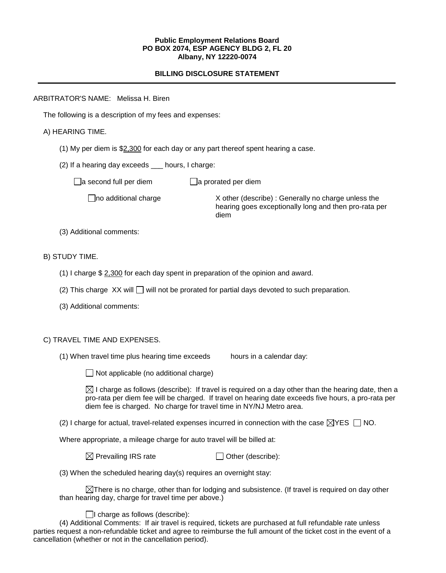#### **Public Employment Relations Board PO BOX 2074, ESP AGENCY BLDG 2, FL 20 Albany, NY 12220-0074**

## **BILLING DISCLOSURE STATEMENT**

## ARBITRATOR'S NAME: Melissa H. Biren

The following is a description of my fees and expenses:

## A) HEARING TIME.

- (1) My per diem is \$2,300 for each day or any part thereof spent hearing a case.
- (2) If a hearing day exceeds \_\_\_ hours, I charge:

 $\Box$ a second full per diem  $\Box$ a prorated per diem

no additional charge X other (describe) : Generally no charge unless the hearing goes exceptionally long and then pro-rata per diem

(3) Additional comments:

## B) STUDY TIME.

- (1) I charge \$ 2,300 for each day spent in preparation of the opinion and award.
- (2) This charge  $XX$  will  $\Box$  will not be prorated for partial days devoted to such preparation.
- (3) Additional comments:

## C) TRAVEL TIME AND EXPENSES.

(1) When travel time plus hearing time exceeds hours in a calendar day:

 $\Box$  Not applicable (no additional charge)

 $\boxtimes$  I charge as follows (describe): If travel is required on a day other than the hearing date, then a pro-rata per diem fee will be charged. If travel on hearing date exceeds five hours, a pro-rata per diem fee is charged. No charge for travel time in NY/NJ Metro area.

(2) I charge for actual, travel-related expenses incurred in connection with the case  $\boxtimes$ YES  $\Box$  NO.

Where appropriate, a mileage charge for auto travel will be billed at:

 $\boxtimes$  Prevailing IRS rate  $\Box$  Other (describe):

(3) When the scheduled hearing day(s) requires an overnight stay:

 $\boxtimes$ There is no charge, other than for lodging and subsistence. (If travel is required on day other than hearing day, charge for travel time per above.)

## $\Box$ I charge as follows (describe):

(4) Additional Comments: If air travel is required, tickets are purchased at full refundable rate unless parties request a non-refundable ticket and agree to reimburse the full amount of the ticket cost in the event of a cancellation (whether or not in the cancellation period).